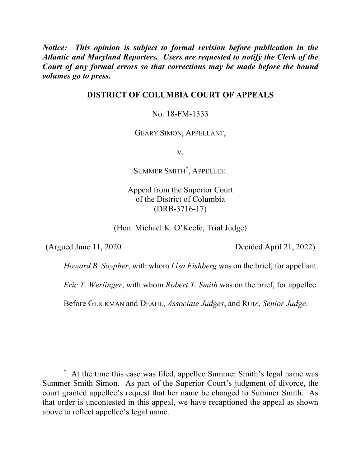*Notice: This opinion is subject to formal revision before publication in the Atlantic and Maryland Reporters. Users are requested to notify the Clerk of the Court of any formal errors so that corrections may be made before the bound volumes go to press.*

## **DISTRICT OF COLUMBIA COURT OF APPEALS**

#### No. 18-FM-1333

GEARY SIMON, APPELLANT,

V.

SUMMER SMITH\* , APPELLEE.

Appeal from the Superior Court of the District of Columbia (DRB-3716-17)

(Hon. Michael K. O'Keefe, Trial Judge)

(Argued June 11, 2020 Decided April 21, 2022)

*Howard B. Soypher*, with whom *Lisa Fishberg* was on the brief, for appellant.

*Eric T. Werlinger*, with whom *Robert T. Smith* was on the brief, for appellee.

Before GLICKMAN and DEAHL, *Associate Judges*, and RUIZ, *Senior Judge*.

 <sup>\*</sup> At the time this case was filed, appellee Summer Smith's legal name was Summer Smith Simon. As part of the Superior Court's judgment of divorce, the court granted appellee's request that her name be changed to Summer Smith. As that order is uncontested in this appeal, we have recaptioned the appeal as shown above to reflect appellee's legal name.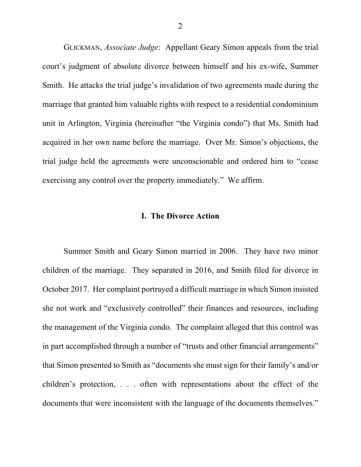GLICKMAN, *Associate Judge*: Appellant Geary Simon appeals from the trial court's judgment of absolute divorce between himself and his ex-wife, Summer Smith. He attacks the trial judge's invalidation of two agreements made during the marriage that granted him valuable rights with respect to a residential condominium unit in Arlington, Virginia (hereinafter "the Virginia condo") that Ms. Smith had acquired in her own name before the marriage. Over Mr. Simon's objections, the trial judge held the agreements were unconscionable and ordered him to "cease exercising any control over the property immediately." We affirm.

#### **I. The Divorce Action**

Summer Smith and Geary Simon married in 2006. They have two minor children of the marriage. They separated in 2016, and Smith filed for divorce in October 2017. Her complaint portrayed a difficult marriage in which Simon insisted she not work and "exclusively controlled" their finances and resources, including the management of the Virginia condo. The complaint alleged that this control was in part accomplished through a number of "trusts and other financial arrangements" that Simon presented to Smith as "documents she must sign for their family's and/or children's protection, . . . often with representations about the effect of the documents that were inconsistent with the language of the documents themselves."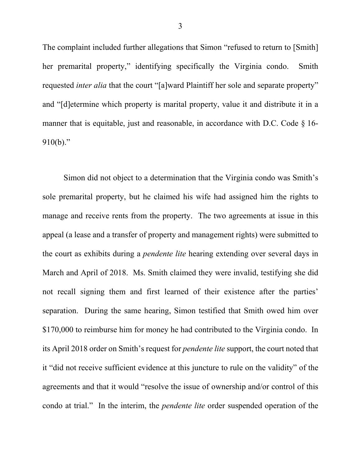The complaint included further allegations that Simon "refused to return to [Smith] her premarital property," identifying specifically the Virginia condo.Smith requested *inter alia* that the court "[a]ward Plaintiff her sole and separate property" and "[d]etermine which property is marital property, value it and distribute it in a manner that is equitable, just and reasonable, in accordance with D.C. Code  $\S$  16-910(b)."

Simon did not object to a determination that the Virginia condo was Smith's sole premarital property, but he claimed his wife had assigned him the rights to manage and receive rents from the property. The two agreements at issue in this appeal (a lease and a transfer of property and management rights) were submitted to the court as exhibits during a *pendente lite* hearing extending over several days in March and April of 2018. Ms. Smith claimed they were invalid, testifying she did not recall signing them and first learned of their existence after the parties' separation. During the same hearing, Simon testified that Smith owed him over \$170,000 to reimburse him for money he had contributed to the Virginia condo. In its April 2018 order on Smith's request for *pendente lite* support, the court noted that it "did not receive sufficient evidence at this juncture to rule on the validity" of the agreements and that it would "resolve the issue of ownership and/or control of this condo at trial." In the interim, the *pendente lite* order suspended operation of the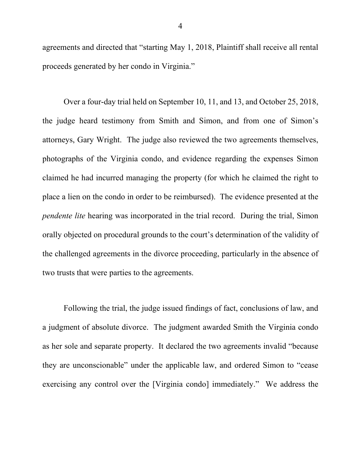agreements and directed that "starting May 1, 2018, Plaintiff shall receive all rental proceeds generated by her condo in Virginia."

Over a four-day trial held on September 10, 11, and 13, and October 25, 2018, the judge heard testimony from Smith and Simon, and from one of Simon's attorneys, Gary Wright. The judge also reviewed the two agreements themselves, photographs of the Virginia condo, and evidence regarding the expenses Simon claimed he had incurred managing the property (for which he claimed the right to place a lien on the condo in order to be reimbursed). The evidence presented at the *pendente lite* hearing was incorporated in the trial record. During the trial, Simon orally objected on procedural grounds to the court's determination of the validity of the challenged agreements in the divorce proceeding, particularly in the absence of two trusts that were parties to the agreements.

Following the trial, the judge issued findings of fact, conclusions of law, and a judgment of absolute divorce. The judgment awarded Smith the Virginia condo as her sole and separate property. It declared the two agreements invalid "because they are unconscionable" under the applicable law, and ordered Simon to "cease exercising any control over the [Virginia condo] immediately." We address the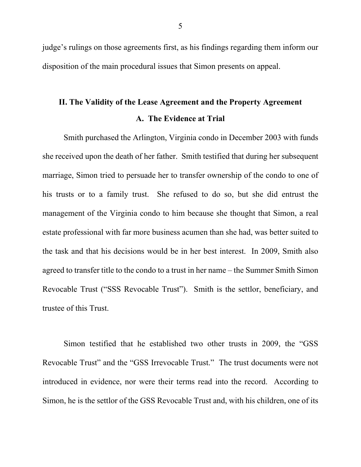judge's rulings on those agreements first, as his findings regarding them inform our disposition of the main procedural issues that Simon presents on appeal.

# **II. The Validity of the Lease Agreement and the Property Agreement A. The Evidence at Trial**

Smith purchased the Arlington, Virginia condo in December 2003 with funds she received upon the death of her father. Smith testified that during her subsequent marriage, Simon tried to persuade her to transfer ownership of the condo to one of his trusts or to a family trust. She refused to do so, but she did entrust the management of the Virginia condo to him because she thought that Simon, a real estate professional with far more business acumen than she had, was better suited to the task and that his decisions would be in her best interest. In 2009, Smith also agreed to transfer title to the condo to a trust in her name – the Summer Smith Simon Revocable Trust ("SSS Revocable Trust"). Smith is the settlor, beneficiary, and trustee of this Trust.

Simon testified that he established two other trusts in 2009, the "GSS Revocable Trust" and the "GSS Irrevocable Trust." The trust documents were not introduced in evidence, nor were their terms read into the record. According to Simon, he is the settlor of the GSS Revocable Trust and, with his children, one of its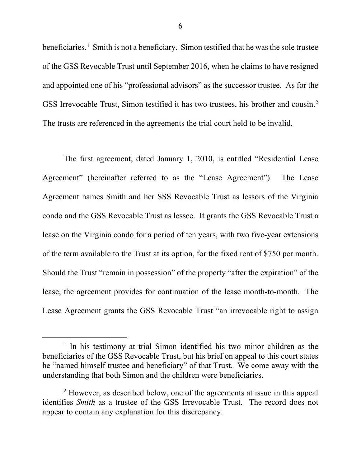beneficiaries.<sup>1</sup> Smith is not a beneficiary. Simon testified that he was the sole trustee of the GSS Revocable Trust until September 2016, when he claims to have resigned and appointed one of his "professional advisors" as the successor trustee. As for the GSS Irrevocable Trust, Simon testified it has two trustees, his brother and cousin.2 The trusts are referenced in the agreements the trial court held to be invalid.

The first agreement, dated January 1, 2010, is entitled "Residential Lease Agreement" (hereinafter referred to as the "Lease Agreement"). The Lease Agreement names Smith and her SSS Revocable Trust as lessors of the Virginia condo and the GSS Revocable Trust as lessee. It grants the GSS Revocable Trust a lease on the Virginia condo for a period of ten years, with two five-year extensions of the term available to the Trust at its option, for the fixed rent of \$750 per month. Should the Trust "remain in possession" of the property "after the expiration" of the lease, the agreement provides for continuation of the lease month-to-month. The Lease Agreement grants the GSS Revocable Trust "an irrevocable right to assign

<sup>&</sup>lt;sup>1</sup> In his testimony at trial Simon identified his two minor children as the beneficiaries of the GSS Revocable Trust, but his brief on appeal to this court states he "named himself trustee and beneficiary" of that Trust. We come away with the understanding that both Simon and the children were beneficiaries.

<sup>&</sup>lt;sup>2</sup> However, as described below, one of the agreements at issue in this appeal identifies *Smith* as a trustee of the GSS Irrevocable Trust. The record does not appear to contain any explanation for this discrepancy.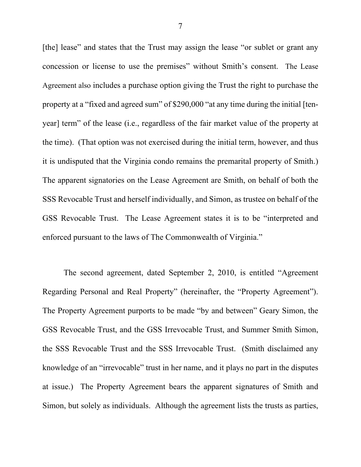[the] lease" and states that the Trust may assign the lease "or sublet or grant any concession or license to use the premises" without Smith's consent. The Lease Agreement also includes a purchase option giving the Trust the right to purchase the property at a "fixed and agreed sum" of \$290,000 "at any time during the initial [tenyear] term" of the lease (i.e., regardless of the fair market value of the property at the time). (That option was not exercised during the initial term, however, and thus it is undisputed that the Virginia condo remains the premarital property of Smith.) The apparent signatories on the Lease Agreement are Smith, on behalf of both the SSS Revocable Trust and herself individually, and Simon, as trustee on behalf of the GSS Revocable Trust. The Lease Agreement states it is to be "interpreted and enforced pursuant to the laws of The Commonwealth of Virginia."

The second agreement, dated September 2, 2010, is entitled "Agreement Regarding Personal and Real Property" (hereinafter, the "Property Agreement"). The Property Agreement purports to be made "by and between" Geary Simon, the GSS Revocable Trust, and the GSS Irrevocable Trust, and Summer Smith Simon, the SSS Revocable Trust and the SSS Irrevocable Trust. (Smith disclaimed any knowledge of an "irrevocable" trust in her name, and it plays no part in the disputes at issue.) The Property Agreement bears the apparent signatures of Smith and Simon, but solely as individuals. Although the agreement lists the trusts as parties,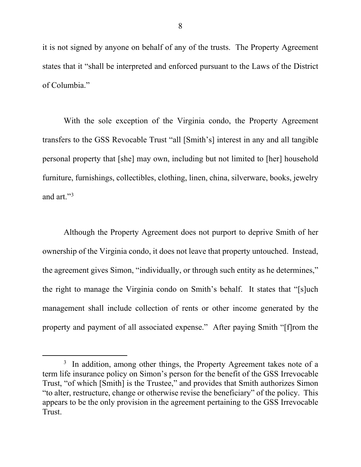it is not signed by anyone on behalf of any of the trusts. The Property Agreement states that it "shall be interpreted and enforced pursuant to the Laws of the District of Columbia."

With the sole exception of the Virginia condo, the Property Agreement transfers to the GSS Revocable Trust "all [Smith's] interest in any and all tangible personal property that [she] may own, including but not limited to [her] household furniture, furnishings, collectibles, clothing, linen, china, silverware, books, jewelry and art."<sup>3</sup>

Although the Property Agreement does not purport to deprive Smith of her ownership of the Virginia condo, it does not leave that property untouched. Instead, the agreement gives Simon, "individually, or through such entity as he determines," the right to manage the Virginia condo on Smith's behalf. It states that "[s]uch management shall include collection of rents or other income generated by the property and payment of all associated expense." After paying Smith "[f]rom the

 $\overline{\phantom{a}}$  $3$  In addition, among other things, the Property Agreement takes note of a term life insurance policy on Simon's person for the benefit of the GSS Irrevocable Trust, "of which [Smith] is the Trustee," and provides that Smith authorizes Simon "to alter, restructure, change or otherwise revise the beneficiary" of the policy. This appears to be the only provision in the agreement pertaining to the GSS Irrevocable Trust.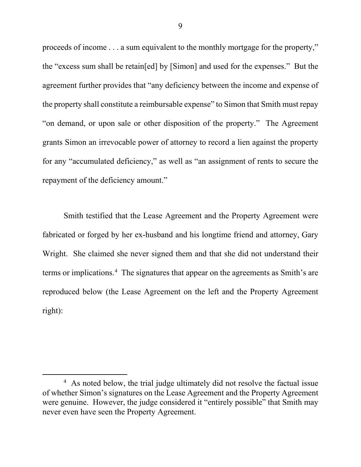proceeds of income . . . a sum equivalent to the monthly mortgage for the property," the "excess sum shall be retain[ed] by [Simon] and used for the expenses." But the agreement further provides that "any deficiency between the income and expense of the property shall constitute a reimbursable expense" to Simon that Smith must repay "on demand, or upon sale or other disposition of the property." The Agreement grants Simon an irrevocable power of attorney to record a lien against the property for any "accumulated deficiency," as well as "an assignment of rents to secure the repayment of the deficiency amount."

Smith testified that the Lease Agreement and the Property Agreement were fabricated or forged by her ex-husband and his longtime friend and attorney, Gary Wright. She claimed she never signed them and that she did not understand their terms or implications. 4 The signatures that appear on the agreements as Smith's are reproduced below (the Lease Agreement on the left and the Property Agreement right):

 $\overline{4}$ <sup>4</sup> As noted below, the trial judge ultimately did not resolve the factual issue of whether Simon's signatures on the Lease Agreement and the Property Agreement were genuine. However, the judge considered it "entirely possible" that Smith may never even have seen the Property Agreement.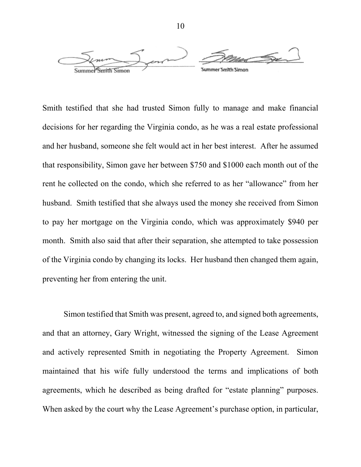

Smith testified that she had trusted Simon fully to manage and make financial decisions for her regarding the Virginia condo, as he was a real estate professional and her husband, someone she felt would act in her best interest. After he assumed that responsibility, Simon gave her between \$750 and \$1000 each month out of the rent he collected on the condo, which she referred to as her "allowance" from her husband. Smith testified that she always used the money she received from Simon to pay her mortgage on the Virginia condo, which was approximately \$940 per month. Smith also said that after their separation, she attempted to take possession of the Virginia condo by changing its locks. Her husband then changed them again, preventing her from entering the unit.

Simon testified that Smith was present, agreed to, and signed both agreements, and that an attorney, Gary Wright, witnessed the signing of the Lease Agreement and actively represented Smith in negotiating the Property Agreement. Simon maintained that his wife fully understood the terms and implications of both agreements, which he described as being drafted for "estate planning" purposes. When asked by the court why the Lease Agreement's purchase option, in particular,

10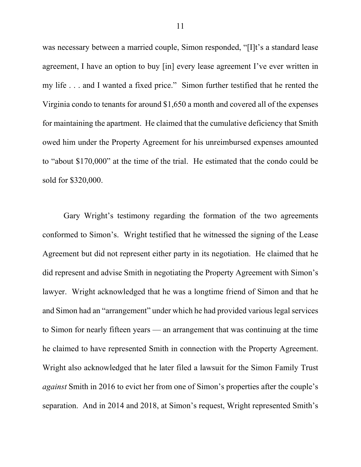was necessary between a married couple, Simon responded, "[I]t's a standard lease agreement, I have an option to buy [in] every lease agreement I've ever written in my life . . . and I wanted a fixed price." Simon further testified that he rented the Virginia condo to tenants for around \$1,650 a month and covered all of the expenses for maintaining the apartment. He claimed that the cumulative deficiency that Smith owed him under the Property Agreement for his unreimbursed expenses amounted to "about \$170,000" at the time of the trial. He estimated that the condo could be sold for \$320,000.

Gary Wright's testimony regarding the formation of the two agreements conformed to Simon's. Wright testified that he witnessed the signing of the Lease Agreement but did not represent either party in its negotiation. He claimed that he did represent and advise Smith in negotiating the Property Agreement with Simon's lawyer. Wright acknowledged that he was a longtime friend of Simon and that he and Simon had an "arrangement" under which he had provided various legal services to Simon for nearly fifteen years — an arrangement that was continuing at the time he claimed to have represented Smith in connection with the Property Agreement. Wright also acknowledged that he later filed a lawsuit for the Simon Family Trust *against* Smith in 2016 to evict her from one of Simon's properties after the couple's separation. And in 2014 and 2018, at Simon's request, Wright represented Smith's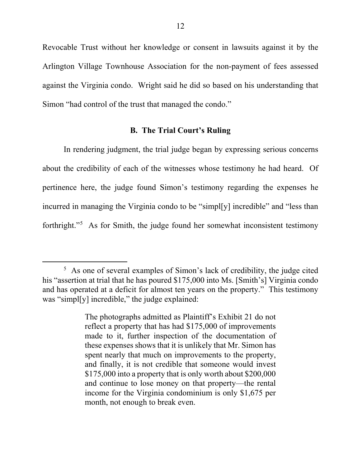Revocable Trust without her knowledge or consent in lawsuits against it by the Arlington Village Townhouse Association for the non-payment of fees assessed against the Virginia condo. Wright said he did so based on his understanding that Simon "had control of the trust that managed the condo."

#### **B. The Trial Court's Ruling**

In rendering judgment, the trial judge began by expressing serious concerns about the credibility of each of the witnesses whose testimony he had heard. Of pertinence here, the judge found Simon's testimony regarding the expenses he incurred in managing the Virginia condo to be "simpl[y] incredible" and "less than forthright."5 As for Smith, the judge found her somewhat inconsistent testimony

 $rac{1}{5}$  $5$  As one of several examples of Simon's lack of credibility, the judge cited his "assertion at trial that he has poured \$175,000 into Ms. [Smith's] Virginia condo and has operated at a deficit for almost ten years on the property." This testimony was "simpl[y] incredible," the judge explained:

The photographs admitted as Plaintiff's Exhibit 21 do not reflect a property that has had \$175,000 of improvements made to it, further inspection of the documentation of these expenses shows that it is unlikely that Mr. Simon has spent nearly that much on improvements to the property, and finally, it is not credible that someone would invest \$175,000 into a property that is only worth about \$200,000 and continue to lose money on that property—the rental income for the Virginia condominium is only \$1,675 per month, not enough to break even.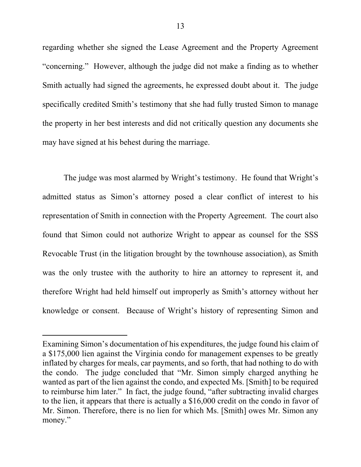regarding whether she signed the Lease Agreement and the Property Agreement "concerning." However, although the judge did not make a finding as to whether Smith actually had signed the agreements, he expressed doubt about it. The judge specifically credited Smith's testimony that she had fully trusted Simon to manage the property in her best interests and did not critically question any documents she may have signed at his behest during the marriage.

The judge was most alarmed by Wright's testimony. He found that Wright's admitted status as Simon's attorney posed a clear conflict of interest to his representation of Smith in connection with the Property Agreement. The court also found that Simon could not authorize Wright to appear as counsel for the SSS Revocable Trust (in the litigation brought by the townhouse association), as Smith was the only trustee with the authority to hire an attorney to represent it, and therefore Wright had held himself out improperly as Smith's attorney without her knowledge or consent. Because of Wright's history of representing Simon and

 $\overline{a}$ 

Examining Simon's documentation of his expenditures, the judge found his claim of a \$175,000 lien against the Virginia condo for management expenses to be greatly inflated by charges for meals, car payments, and so forth, that had nothing to do with the condo. The judge concluded that "Mr. Simon simply charged anything he wanted as part of the lien against the condo, and expected Ms. [Smith] to be required to reimburse him later." In fact, the judge found, "after subtracting invalid charges to the lien, it appears that there is actually a \$16,000 credit on the condo in favor of Mr. Simon. Therefore, there is no lien for which Ms. [Smith] owes Mr. Simon any money."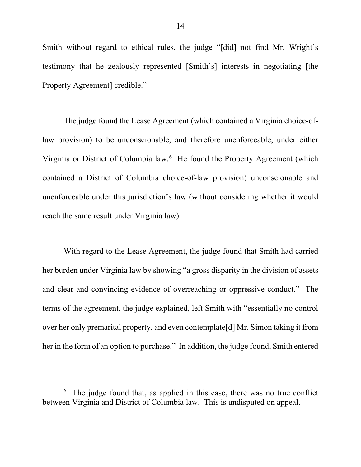Smith without regard to ethical rules, the judge "[did] not find Mr. Wright's testimony that he zealously represented [Smith's] interests in negotiating [the Property Agreement] credible."

The judge found the Lease Agreement (which contained a Virginia choice-oflaw provision) to be unconscionable, and therefore unenforceable, under either Virginia or District of Columbia law. <sup>6</sup> He found the Property Agreement (which contained a District of Columbia choice-of-law provision) unconscionable and unenforceable under this jurisdiction's law (without considering whether it would reach the same result under Virginia law).

With regard to the Lease Agreement, the judge found that Smith had carried her burden under Virginia law by showing "a gross disparity in the division of assets and clear and convincing evidence of overreaching or oppressive conduct." The terms of the agreement, the judge explained, left Smith with "essentially no control over her only premarital property, and even contemplate[d] Mr. Simon taking it from her in the form of an option to purchase." In addition, the judge found, Smith entered

 $\overline{6}$  $6\text{ The judge found that, as applied in this case, there was no true conflict.}$ between Virginia and District of Columbia law. This is undisputed on appeal.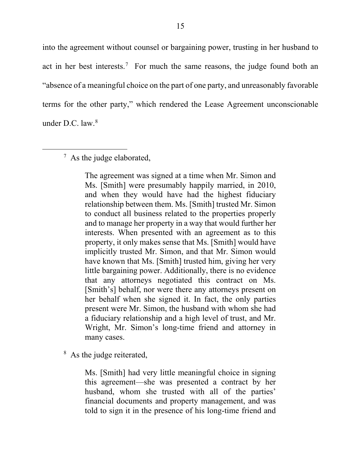into the agreement without counsel or bargaining power, trusting in her husband to act in her best interests.<sup>7</sup> For much the same reasons, the judge found both an "absence of a meaningful choice on the part of one party, and unreasonably favorable terms for the other party," which rendered the Lease Agreement unconscionable under D.C. law. $8$ 

 7  $\frac{7}{1}$  As the judge elaborated,

> The agreement was signed at a time when Mr. Simon and Ms. [Smith] were presumably happily married, in 2010, and when they would have had the highest fiduciary relationship between them. Ms. [Smith] trusted Mr. Simon to conduct all business related to the properties properly and to manage her property in a way that would further her interests. When presented with an agreement as to this property, it only makes sense that Ms. [Smith] would have implicitly trusted Mr. Simon, and that Mr. Simon would have known that Ms. [Smith] trusted him, giving her very little bargaining power. Additionally, there is no evidence that any attorneys negotiated this contract on Ms. [Smith's] behalf, nor were there any attorneys present on her behalf when she signed it. In fact, the only parties present were Mr. Simon, the husband with whom she had a fiduciary relationship and a high level of trust, and Mr. Wright, Mr. Simon's long-time friend and attorney in many cases.

<sup>8</sup> As the judge reiterated,

Ms. [Smith] had very little meaningful choice in signing this agreement—she was presented a contract by her husband, whom she trusted with all of the parties' financial documents and property management, and was told to sign it in the presence of his long-time friend and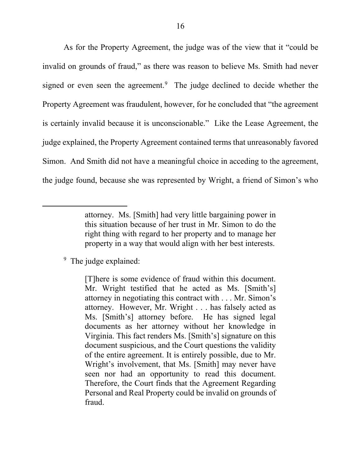As for the Property Agreement, the judge was of the view that it "could be invalid on grounds of fraud," as there was reason to believe Ms. Smith had never signed or even seen the agreement.<sup>9</sup> The judge declined to decide whether the Property Agreement was fraudulent, however, for he concluded that "the agreement is certainly invalid because it is unconscionable." Like the Lease Agreement, the judge explained, the Property Agreement contained terms that unreasonably favored Simon. And Smith did not have a meaningful choice in acceding to the agreement, the judge found, because she was represented by Wright, a friend of Simon's who

## <sup>9</sup> The judge explained:

 $\overline{a}$ 

[T]here is some evidence of fraud within this document. Mr. Wright testified that he acted as Ms. [Smith's] attorney in negotiating this contract with . . . Mr. Simon's attorney. However, Mr. Wright . . . has falsely acted as Ms. [Smith's] attorney before. He has signed legal documents as her attorney without her knowledge in Virginia. This fact renders Ms. [Smith's] signature on this document suspicious, and the Court questions the validity of the entire agreement. It is entirely possible, due to Mr. Wright's involvement, that Ms. [Smith] may never have seen nor had an opportunity to read this document. Therefore, the Court finds that the Agreement Regarding Personal and Real Property could be invalid on grounds of fraud.

attorney. Ms. [Smith] had very little bargaining power in this situation because of her trust in Mr. Simon to do the right thing with regard to her property and to manage her property in a way that would align with her best interests.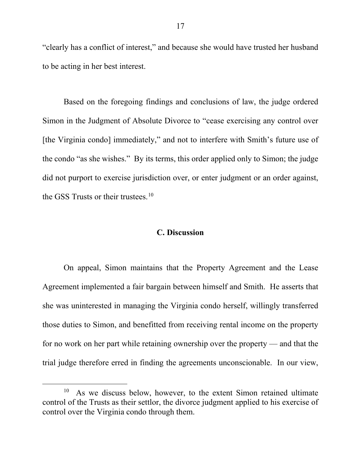"clearly has a conflict of interest," and because she would have trusted her husband to be acting in her best interest.

Based on the foregoing findings and conclusions of law, the judge ordered Simon in the Judgment of Absolute Divorce to "cease exercising any control over [the Virginia condo] immediately," and not to interfere with Smith's future use of the condo "as she wishes." By its terms, this order applied only to Simon; the judge did not purport to exercise jurisdiction over, or enter judgment or an order against, the GSS Trusts or their trustees.<sup>10</sup>

#### **C. Discussion**

On appeal, Simon maintains that the Property Agreement and the Lease Agreement implemented a fair bargain between himself and Smith. He asserts that she was uninterested in managing the Virginia condo herself, willingly transferred those duties to Simon, and benefitted from receiving rental income on the property for no work on her part while retaining ownership over the property — and that the trial judge therefore erred in finding the agreements unconscionable. In our view,

<sup>&</sup>lt;sup>10</sup> As we discuss below, however, to the extent Simon retained ultimate control of the Trusts as their settlor, the divorce judgment applied to his exercise of control over the Virginia condo through them.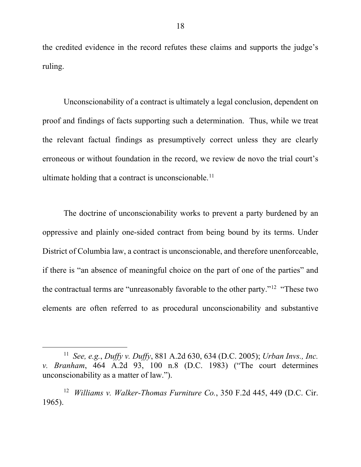the credited evidence in the record refutes these claims and supports the judge's ruling.

Unconscionability of a contract is ultimately a legal conclusion, dependent on proof and findings of facts supporting such a determination. Thus, while we treat the relevant factual findings as presumptively correct unless they are clearly erroneous or without foundation in the record, we review de novo the trial court's ultimate holding that a contract is unconscionable. 11

The doctrine of unconscionability works to prevent a party burdened by an oppressive and plainly one-sided contract from being bound by its terms. Under District of Columbia law, a contract is unconscionable, and therefore unenforceable, if there is "an absence of meaningful choice on the part of one of the parties" and the contractual terms are "unreasonably favorable to the other party."12 "These two elements are often referred to as procedural unconscionability and substantive

 <sup>11</sup> *See, e.g.*, *Duffy v. Duffy*, 881 A.2d 630, 634 (D.C. 2005); *Urban Invs., Inc. v. Branham*, 464 A.2d 93, 100 n.8 (D.C. 1983) ("The court determines unconscionability as a matter of law.").

<sup>12</sup> *Williams v. Walker-Thomas Furniture Co.*, 350 F.2d 445, 449 (D.C. Cir. 1965).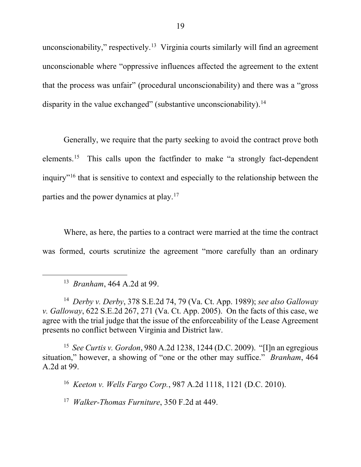unconscionability," respectively.<sup>13</sup> Virginia courts similarly will find an agreement unconscionable where "oppressive influences affected the agreement to the extent that the process was unfair" (procedural unconscionability) and there was a "gross disparity in the value exchanged" (substantive unconscionability).<sup>14</sup>

Generally, we require that the party seeking to avoid the contract prove both elements.<sup>15</sup> This calls upon the factfinder to make "a strongly fact-dependent inquiry"16 that is sensitive to context and especially to the relationship between the parties and the power dynamics at play.17

Where, as here, the parties to a contract were married at the time the contract was formed, courts scrutinize the agreement "more carefully than an ordinary

15 *See Curtis v. Gordon*, 980 A.2d 1238, 1244 (D.C. 2009). "[I]n an egregious situation," however, a showing of "one or the other may suffice." *Branham*, 464 A.2d at 99.

16 *Keeton v. Wells Fargo Corp.*, 987 A.2d 1118, 1121 (D.C. 2010).

17 *Walker-Thomas Furniture*, 350 F.2d at 449.

 <sup>13</sup> *Branham*, 464 A.2d at 99.

<sup>14</sup> *Derby v. Derby*, 378 S.E.2d 74, 79 (Va. Ct. App. 1989); *see also Galloway v. Galloway*, 622 S.E.2d 267, 271 (Va. Ct. App. 2005). On the facts of this case, we agree with the trial judge that the issue of the enforceability of the Lease Agreement presents no conflict between Virginia and District law.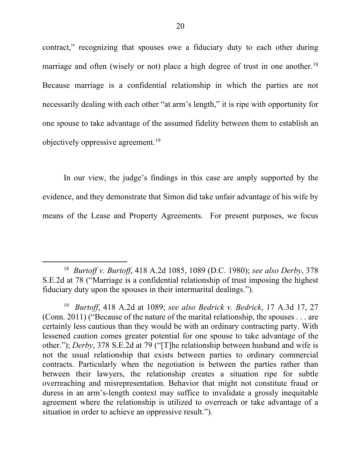contract," recognizing that spouses owe a fiduciary duty to each other during marriage and often (wisely or not) place a high degree of trust in one another.<sup>18</sup> Because marriage is a confidential relationship in which the parties are not necessarily dealing with each other "at arm's length," it is ripe with opportunity for one spouse to take advantage of the assumed fidelity between them to establish an objectively oppressive agreement.<sup>19</sup>

In our view, the judge's findings in this case are amply supported by the evidence, and they demonstrate that Simon did take unfair advantage of his wife by means of the Lease and Property Agreements. For present purposes, we focus

 <sup>18</sup> *Burtoff v. Burtoff*, 418 A.2d 1085, 1089 (D.C. 1980); *see also Derby*, 378 S.E.2d at 78 ("Marriage is a confidential relationship of trust imposing the highest fiduciary duty upon the spouses in their intermarital dealings.").

<sup>19</sup> *Burtoff*, 418 A.2d at 1089; *see also Bedrick v. Bedrick*, 17 A.3d 17, 27 (Conn. 2011) ("Because of the nature of the marital relationship, the spouses . . . are certainly less cautious than they would be with an ordinary contracting party. With lessened caution comes greater potential for one spouse to take advantage of the other."); *Derby*, 378 S.E.2d at 79 ("[T]he relationship between husband and wife is not the usual relationship that exists between parties to ordinary commercial contracts. Particularly when the negotiation is between the parties rather than between their lawyers, the relationship creates a situation ripe for subtle overreaching and misrepresentation. Behavior that might not constitute fraud or duress in an arm's-length context may suffice to invalidate a grossly inequitable agreement where the relationship is utilized to overreach or take advantage of a situation in order to achieve an oppressive result.").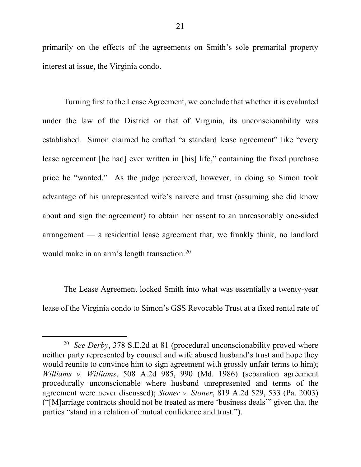primarily on the effects of the agreements on Smith's sole premarital property interest at issue, the Virginia condo.

Turning first to the Lease Agreement, we conclude that whether it is evaluated under the law of the District or that of Virginia, its unconscionability was established. Simon claimed he crafted "a standard lease agreement" like "every lease agreement [he had] ever written in [his] life," containing the fixed purchase price he "wanted." As the judge perceived, however, in doing so Simon took advantage of his unrepresented wife's naiveté and trust (assuming she did know about and sign the agreement) to obtain her assent to an unreasonably one-sided arrangement — a residential lease agreement that, we frankly think, no landlord would make in an arm's length transaction. 20

The Lease Agreement locked Smith into what was essentially a twenty-year lease of the Virginia condo to Simon's GSS Revocable Trust at a fixed rental rate of

<sup>&</sup>lt;sup>20</sup> *See Derby*, 378 S.E.2d at 81 (procedural unconscionability proved where neither party represented by counsel and wife abused husband's trust and hope they would reunite to convince him to sign agreement with grossly unfair terms to him); *Williams v. Williams*, 508 A.2d 985, 990 (Md. 1986) (separation agreement procedurally unconscionable where husband unrepresented and terms of the agreement were never discussed); *Stoner v. Stoner*, 819 A.2d 529, 533 (Pa. 2003) ("[M]arriage contracts should not be treated as mere 'business deals'" given that the parties "stand in a relation of mutual confidence and trust.").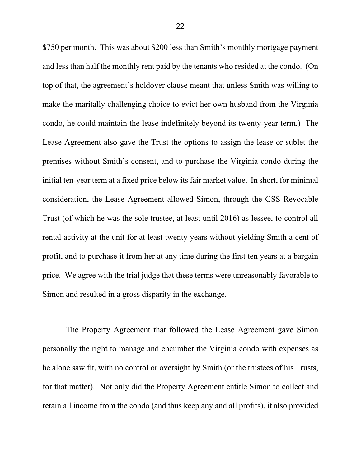\$750 per month. This was about \$200 less than Smith's monthly mortgage payment and less than half the monthly rent paid by the tenants who resided at the condo. (On top of that, the agreement's holdover clause meant that unless Smith was willing to make the maritally challenging choice to evict her own husband from the Virginia condo, he could maintain the lease indefinitely beyond its twenty-year term.) The Lease Agreement also gave the Trust the options to assign the lease or sublet the premises without Smith's consent, and to purchase the Virginia condo during the initial ten-year term at a fixed price below its fair market value. In short, for minimal consideration, the Lease Agreement allowed Simon, through the GSS Revocable Trust (of which he was the sole trustee, at least until 2016) as lessee, to control all rental activity at the unit for at least twenty years without yielding Smith a cent of profit, and to purchase it from her at any time during the first ten years at a bargain price. We agree with the trial judge that these terms were unreasonably favorable to Simon and resulted in a gross disparity in the exchange.

The Property Agreement that followed the Lease Agreement gave Simon personally the right to manage and encumber the Virginia condo with expenses as he alone saw fit, with no control or oversight by Smith (or the trustees of his Trusts, for that matter). Not only did the Property Agreement entitle Simon to collect and retain all income from the condo (and thus keep any and all profits), it also provided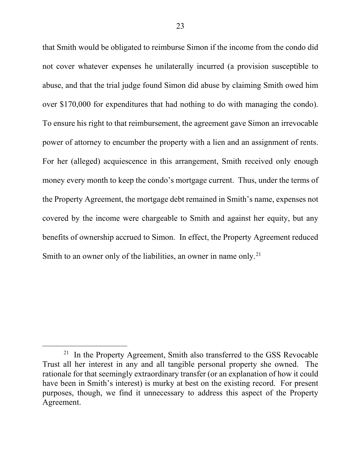that Smith would be obligated to reimburse Simon if the income from the condo did not cover whatever expenses he unilaterally incurred (a provision susceptible to abuse, and that the trial judge found Simon did abuse by claiming Smith owed him over \$170,000 for expenditures that had nothing to do with managing the condo). To ensure his right to that reimbursement, the agreement gave Simon an irrevocable power of attorney to encumber the property with a lien and an assignment of rents. For her (alleged) acquiescence in this arrangement, Smith received only enough money every month to keep the condo's mortgage current. Thus, under the terms of the Property Agreement, the mortgage debt remained in Smith's name, expenses not covered by the income were chargeable to Smith and against her equity, but any benefits of ownership accrued to Simon. In effect, the Property Agreement reduced Smith to an owner only of the liabilities, an owner in name only.<sup>21</sup>

 $21$  In the Property Agreement, Smith also transferred to the GSS Revocable Trust all her interest in any and all tangible personal property she owned. The rationale for that seemingly extraordinary transfer (or an explanation of how it could have been in Smith's interest) is murky at best on the existing record. For present purposes, though, we find it unnecessary to address this aspect of the Property Agreement.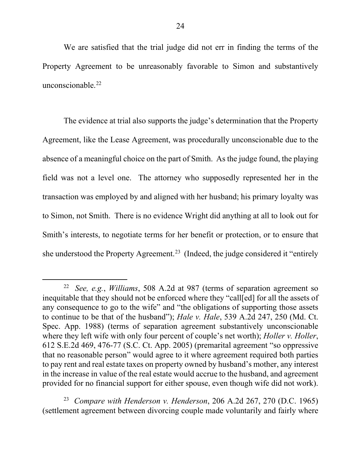We are satisfied that the trial judge did not err in finding the terms of the Property Agreement to be unreasonably favorable to Simon and substantively unconscionable.<sup>22</sup>

The evidence at trial also supports the judge's determination that the Property Agreement, like the Lease Agreement, was procedurally unconscionable due to the absence of a meaningful choice on the part of Smith. As the judge found, the playing field was not a level one. The attorney who supposedly represented her in the transaction was employed by and aligned with her husband; his primary loyalty was to Simon, not Smith. There is no evidence Wright did anything at all to look out for Smith's interests, to negotiate terms for her benefit or protection, or to ensure that she understood the Property Agreement.<sup>23</sup> (Indeed, the judge considered it "entirely"

23 *Compare with Henderson v. Henderson*, 206 A.2d 267, 270 (D.C. 1965) (settlement agreement between divorcing couple made voluntarily and fairly where

 <sup>22</sup> *See, e.g.*, *Williams*, 508 A.2d at 987 (terms of separation agreement so inequitable that they should not be enforced where they "call[ed] for all the assets of any consequence to go to the wife" and "the obligations of supporting those assets to continue to be that of the husband"); *Hale v. Hale*, 539 A.2d 247, 250 (Md. Ct. Spec. App. 1988) (terms of separation agreement substantively unconscionable where they left wife with only four percent of couple's net worth); *Holler v. Holler*, 612 S.E.2d 469, 476-77 (S.C. Ct. App. 2005) (premarital agreement "so oppressive that no reasonable person" would agree to it where agreement required both parties to pay rent and real estate taxes on property owned by husband's mother, any interest in the increase in value of the real estate would accrue to the husband, and agreement provided for no financial support for either spouse, even though wife did not work).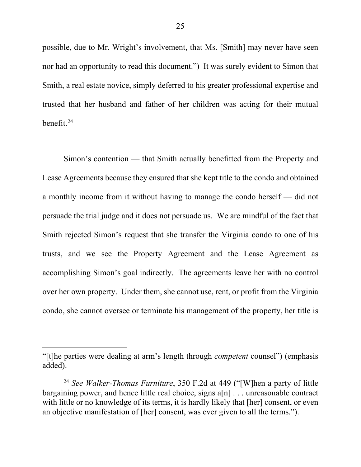possible, due to Mr. Wright's involvement, that Ms. [Smith] may never have seen nor had an opportunity to read this document.") It was surely evident to Simon that Smith, a real estate novice, simply deferred to his greater professional expertise and trusted that her husband and father of her children was acting for their mutual benefit. $24$ 

Simon's contention — that Smith actually benefitted from the Property and Lease Agreements because they ensured that she kept title to the condo and obtained a monthly income from it without having to manage the condo herself — did not persuade the trial judge and it does not persuade us. We are mindful of the fact that Smith rejected Simon's request that she transfer the Virginia condo to one of his trusts, and we see the Property Agreement and the Lease Agreement as accomplishing Simon's goal indirectly. The agreements leave her with no control over her own property. Under them, she cannot use, rent, or profit from the Virginia condo, she cannot oversee or terminate his management of the property, her title is

 $\overline{a}$ 

<sup>&</sup>quot;[t]he parties were dealing at arm's length through *competent* counsel") (emphasis added).

<sup>24</sup> *See Walker-Thomas Furniture*, 350 F.2d at 449 ("[W]hen a party of little bargaining power, and hence little real choice, signs a[n] . . . unreasonable contract with little or no knowledge of its terms, it is hardly likely that [her] consent, or even an objective manifestation of [her] consent, was ever given to all the terms.").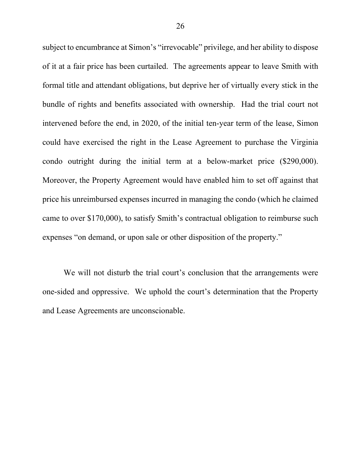subject to encumbrance at Simon's "irrevocable" privilege, and her ability to dispose of it at a fair price has been curtailed. The agreements appear to leave Smith with formal title and attendant obligations, but deprive her of virtually every stick in the bundle of rights and benefits associated with ownership. Had the trial court not intervened before the end, in 2020, of the initial ten-year term of the lease, Simon could have exercised the right in the Lease Agreement to purchase the Virginia condo outright during the initial term at a below-market price (\$290,000). Moreover, the Property Agreement would have enabled him to set off against that price his unreimbursed expenses incurred in managing the condo (which he claimed came to over \$170,000), to satisfy Smith's contractual obligation to reimburse such expenses "on demand, or upon sale or other disposition of the property."

We will not disturb the trial court's conclusion that the arrangements were one-sided and oppressive. We uphold the court's determination that the Property and Lease Agreements are unconscionable.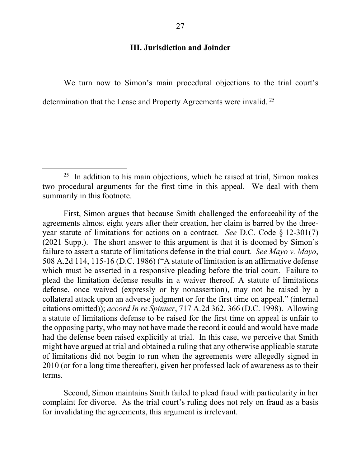#### **III. Jurisdiction and Joinder**

We turn now to Simon's main procedural objections to the trial court's determination that the Lease and Property Agreements were invalid.<sup>25</sup>

First, Simon argues that because Smith challenged the enforceability of the agreements almost eight years after their creation, her claim is barred by the threeyear statute of limitations for actions on a contract. *See* D.C. Code § 12-301(7) (2021 Supp.). The short answer to this argument is that it is doomed by Simon's failure to assert a statute of limitations defense in the trial court. *See Mayo v. Mayo*, 508 A.2d 114, 115-16 (D.C. 1986) ("A statute of limitation is an affirmative defense which must be asserted in a responsive pleading before the trial court. Failure to plead the limitation defense results in a waiver thereof. A statute of limitations defense, once waived (expressly or by nonassertion), may not be raised by a collateral attack upon an adverse judgment or for the first time on appeal." (internal citations omitted)); *accord In re Spinner*, 717 A.2d 362, 366 (D.C. 1998). Allowing a statute of limitations defense to be raised for the first time on appeal is unfair to the opposing party, who may not have made the record it could and would have made had the defense been raised explicitly at trial. In this case, we perceive that Smith might have argued at trial and obtained a ruling that any otherwise applicable statute of limitations did not begin to run when the agreements were allegedly signed in 2010 (or for a long time thereafter), given her professed lack of awareness as to their terms.

Second, Simon maintains Smith failed to plead fraud with particularity in her complaint for divorce. As the trial court's ruling does not rely on fraud as a basis for invalidating the agreements, this argument is irrelevant.

 $25$  In addition to his main objections, which he raised at trial, Simon makes two procedural arguments for the first time in this appeal. We deal with them summarily in this footnote.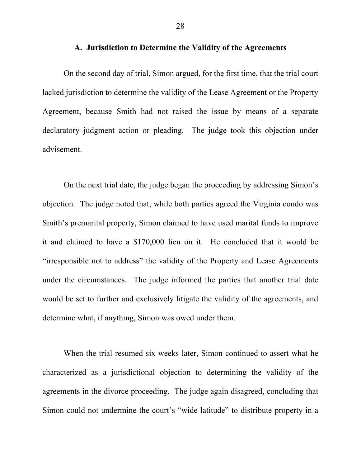#### **A. Jurisdiction to Determine the Validity of the Agreements**

On the second day of trial, Simon argued, for the first time, that the trial court lacked jurisdiction to determine the validity of the Lease Agreement or the Property Agreement, because Smith had not raised the issue by means of a separate declaratory judgment action or pleading. The judge took this objection under advisement.

On the next trial date, the judge began the proceeding by addressing Simon's objection. The judge noted that, while both parties agreed the Virginia condo was Smith's premarital property, Simon claimed to have used marital funds to improve it and claimed to have a \$170,000 lien on it. He concluded that it would be "irresponsible not to address" the validity of the Property and Lease Agreements under the circumstances. The judge informed the parties that another trial date would be set to further and exclusively litigate the validity of the agreements, and determine what, if anything, Simon was owed under them.

When the trial resumed six weeks later, Simon continued to assert what he characterized as a jurisdictional objection to determining the validity of the agreements in the divorce proceeding. The judge again disagreed, concluding that Simon could not undermine the court's "wide latitude" to distribute property in a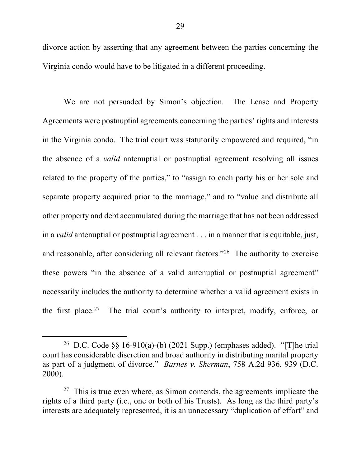divorce action by asserting that any agreement between the parties concerning the Virginia condo would have to be litigated in a different proceeding.

We are not persuaded by Simon's objection. The Lease and Property Agreements were postnuptial agreements concerning the parties' rights and interests in the Virginia condo. The trial court was statutorily empowered and required, "in the absence of a *valid* antenuptial or postnuptial agreement resolving all issues related to the property of the parties," to "assign to each party his or her sole and separate property acquired prior to the marriage," and to "value and distribute all other property and debt accumulated during the marriage that has not been addressed in a *valid* antenuptial or postnuptial agreement . . . in a manner that is equitable, just, and reasonable, after considering all relevant factors."26 The authority to exercise these powers "in the absence of a valid antenuptial or postnuptial agreement" necessarily includes the authority to determine whether a valid agreement exists in the first place.<sup>27</sup> The trial court's authority to interpret, modify, enforce, or

<sup>&</sup>lt;sup>26</sup> D.C. Code  $\S$ § 16-910(a)-(b) (2021 Supp.) (emphases added). "[T]he trial court has considerable discretion and broad authority in distributing marital property as part of a judgment of divorce." *Barnes v. Sherman*, 758 A.2d 936, 939 (D.C. 2000).

 $27$  This is true even where, as Simon contends, the agreements implicate the rights of a third party (i.e., one or both of his Trusts). As long as the third party's interests are adequately represented, it is an unnecessary "duplication of effort" and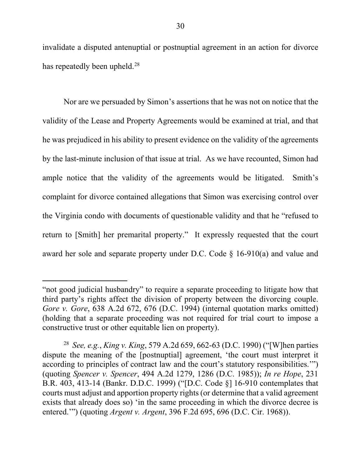invalidate a disputed antenuptial or postnuptial agreement in an action for divorce has repeatedly been upheld. $^{28}$ 

Nor are we persuaded by Simon's assertions that he was not on notice that the validity of the Lease and Property Agreements would be examined at trial, and that he was prejudiced in his ability to present evidence on the validity of the agreements by the last-minute inclusion of that issue at trial. As we have recounted, Simon had ample notice that the validity of the agreements would be litigated. Smith's complaint for divorce contained allegations that Simon was exercising control over the Virginia condo with documents of questionable validity and that he "refused to return to [Smith] her premarital property." It expressly requested that the court award her sole and separate property under D.C. Code § 16-910(a) and value and

 $\overline{a}$ 

<sup>&</sup>quot;not good judicial husbandry" to require a separate proceeding to litigate how that third party's rights affect the division of property between the divorcing couple. *Gore v. Gore*, 638 A.2d 672, 676 (D.C. 1994) (internal quotation marks omitted) (holding that a separate proceeding was not required for trial court to impose a constructive trust or other equitable lien on property).

<sup>28</sup> *See, e.g.*, *King v. King*, 579 A.2d 659, 662-63 (D.C. 1990) ("[W]hen parties dispute the meaning of the [postnuptial] agreement, 'the court must interpret it according to principles of contract law and the court's statutory responsibilities.'") (quoting *Spencer v. Spencer*, 494 A.2d 1279, 1286 (D.C. 1985)); *In re Hope*, 231 B.R. 403, 413-14 (Bankr. D.D.C. 1999) ("[D.C. Code §] 16-910 contemplates that courts must adjust and apportion property rights (or determine that a valid agreement exists that already does so) 'in the same proceeding in which the divorce decree is entered.'") (quoting *Argent v. Argent*, 396 F.2d 695, 696 (D.C. Cir. 1968)).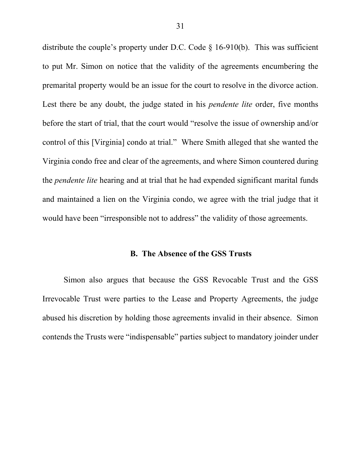distribute the couple's property under D.C. Code § 16-910(b). This was sufficient to put Mr. Simon on notice that the validity of the agreements encumbering the premarital property would be an issue for the court to resolve in the divorce action. Lest there be any doubt, the judge stated in his *pendente lite* order, five months before the start of trial, that the court would "resolve the issue of ownership and/or control of this [Virginia] condo at trial." Where Smith alleged that she wanted the Virginia condo free and clear of the agreements, and where Simon countered during the *pendente lite* hearing and at trial that he had expended significant marital funds and maintained a lien on the Virginia condo, we agree with the trial judge that it would have been "irresponsible not to address" the validity of those agreements.

#### **B. The Absence of the GSS Trusts**

Simon also argues that because the GSS Revocable Trust and the GSS Irrevocable Trust were parties to the Lease and Property Agreements, the judge abused his discretion by holding those agreements invalid in their absence. Simon contends the Trusts were "indispensable" parties subject to mandatory joinder under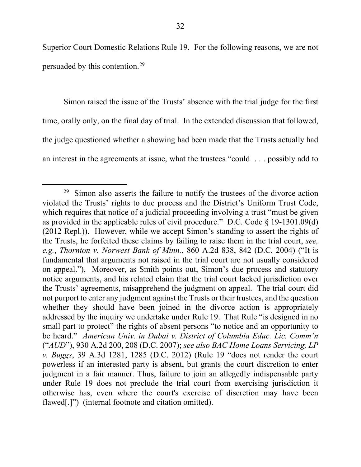Superior Court Domestic Relations Rule 19. For the following reasons, we are not persuaded by this contention.29

Simon raised the issue of the Trusts' absence with the trial judge for the first time, orally only, on the final day of trial. In the extended discussion that followed, the judge questioned whether a showing had been made that the Trusts actually had an interest in the agreements at issue, what the trustees "could . . . possibly add to

 $29$  Simon also asserts the failure to notify the trustees of the divorce action violated the Trusts' rights to due process and the District's Uniform Trust Code, which requires that notice of a judicial proceeding involving a trust "must be given as provided in the applicable rules of civil procedure." D.C. Code  $\S$  19-1301.09(d) (2012 Repl.)). However, while we accept Simon's standing to assert the rights of the Trusts, he forfeited these claims by failing to raise them in the trial court, *see, e.g.*, *Thornton v. Norwest Bank of Minn.*, 860 A.2d 838, 842 (D.C. 2004) ("It is fundamental that arguments not raised in the trial court are not usually considered on appeal."). Moreover, as Smith points out, Simon's due process and statutory notice arguments, and his related claim that the trial court lacked jurisdiction over the Trusts' agreements, misapprehend the judgment on appeal. The trial court did not purport to enter any judgment against the Trusts or their trustees, and the question whether they should have been joined in the divorce action is appropriately addressed by the inquiry we undertake under Rule 19. That Rule "is designed in no small part to protect" the rights of absent persons "to notice and an opportunity to be heard." *American Univ. in Dubai v. District of Columbia Educ. Lic. Comm'n*  ("*AUD*"), 930 A.2d 200, 208 (D.C. 2007); *see also BAC Home Loans Servicing, LP v. Buggs*, 39 A.3d 1281, 1285 (D.C. 2012) (Rule 19 "does not render the court powerless if an interested party is absent, but grants the court discretion to enter judgment in a fair manner. Thus, failure to join an allegedly indispensable party under Rule 19 does not preclude the trial court from exercising jurisdiction it otherwise has, even where the court's exercise of discretion may have been flawed[.]") (internal footnote and citation omitted).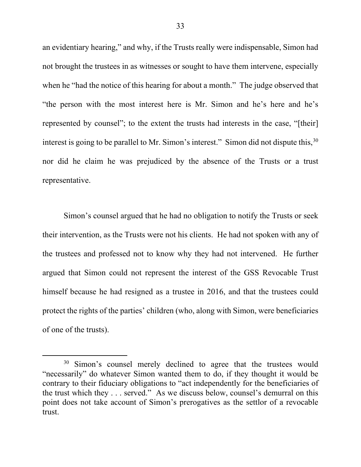an evidentiary hearing," and why, if the Trusts really were indispensable, Simon had not brought the trustees in as witnesses or sought to have them intervene, especially when he "had the notice of this hearing for about a month." The judge observed that "the person with the most interest here is Mr. Simon and he's here and he's represented by counsel"; to the extent the trusts had interests in the case, "[their] interest is going to be parallel to Mr. Simon's interest." Simon did not dispute this,  $30$ nor did he claim he was prejudiced by the absence of the Trusts or a trust representative.

Simon's counsel argued that he had no obligation to notify the Trusts or seek their intervention, as the Trusts were not his clients. He had not spoken with any of the trustees and professed not to know why they had not intervened. He further argued that Simon could not represent the interest of the GSS Revocable Trust himself because he had resigned as a trustee in 2016, and that the trustees could protect the rights of the parties' children (who, along with Simon, were beneficiaries of one of the trusts).

<sup>&</sup>lt;sup>30</sup> Simon's counsel merely declined to agree that the trustees would "necessarily" do whatever Simon wanted them to do, if they thought it would be contrary to their fiduciary obligations to "act independently for the beneficiaries of the trust which they . . . served." As we discuss below, counsel's demurral on this point does not take account of Simon's prerogatives as the settlor of a revocable trust.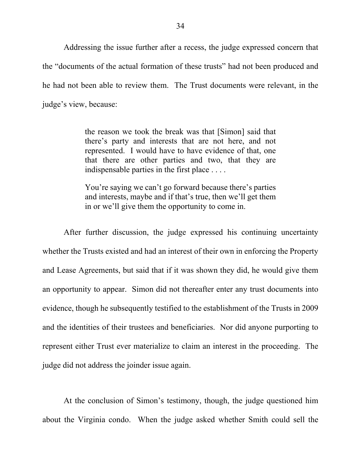Addressing the issue further after a recess, the judge expressed concern that the "documents of the actual formation of these trusts" had not been produced and he had not been able to review them. The Trust documents were relevant, in the judge's view, because:

> the reason we took the break was that [Simon] said that there's party and interests that are not here, and not represented. I would have to have evidence of that, one that there are other parties and two, that they are indispensable parties in the first place . . . .

> You're saying we can't go forward because there's parties and interests, maybe and if that's true, then we'll get them in or we'll give them the opportunity to come in.

After further discussion, the judge expressed his continuing uncertainty whether the Trusts existed and had an interest of their own in enforcing the Property and Lease Agreements, but said that if it was shown they did, he would give them an opportunity to appear. Simon did not thereafter enter any trust documents into evidence, though he subsequently testified to the establishment of the Trusts in 2009 and the identities of their trustees and beneficiaries. Nor did anyone purporting to represent either Trust ever materialize to claim an interest in the proceeding. The judge did not address the joinder issue again.

At the conclusion of Simon's testimony, though, the judge questioned him about the Virginia condo. When the judge asked whether Smith could sell the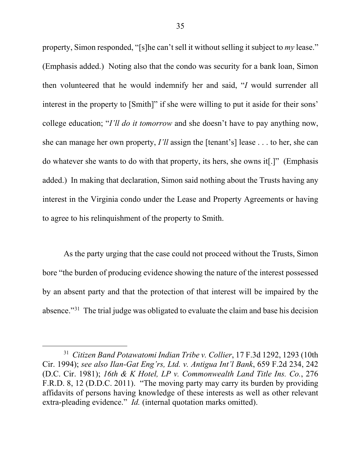property, Simon responded, "[s]he can't sell it without selling it subject to *my* lease." (Emphasis added.) Noting also that the condo was security for a bank loan, Simon then volunteered that he would indemnify her and said, "*I* would surrender all interest in the property to [Smith]" if she were willing to put it aside for their sons' college education; "*I'll do it tomorrow* and she doesn't have to pay anything now, she can manage her own property, *I'll* assign the [tenant's] lease . . . to her, she can do whatever she wants to do with that property, its hers, she owns it[.]" (Emphasis added.) In making that declaration, Simon said nothing about the Trusts having any interest in the Virginia condo under the Lease and Property Agreements or having to agree to his relinquishment of the property to Smith.

As the party urging that the case could not proceed without the Trusts, Simon bore "the burden of producing evidence showing the nature of the interest possessed by an absent party and that the protection of that interest will be impaired by the absence."31 The trial judge was obligated to evaluate the claim and base his decision

 <sup>31</sup> *Citizen Band Potawatomi Indian Tribe v. Collier*, 17 F.3d 1292, 1293 (10th Cir. 1994); *see also Ilan-Gat Eng'rs, Ltd. v. Antigua Int'l Bank*, 659 F.2d 234, 242 (D.C. Cir. 1981); *16th & K Hotel, LP v. Commonwealth Land Title Ins. Co.*, 276 F.R.D. 8, 12 (D.D.C. 2011). "The moving party may carry its burden by providing affidavits of persons having knowledge of these interests as well as other relevant extra-pleading evidence." *Id.* (internal quotation marks omitted).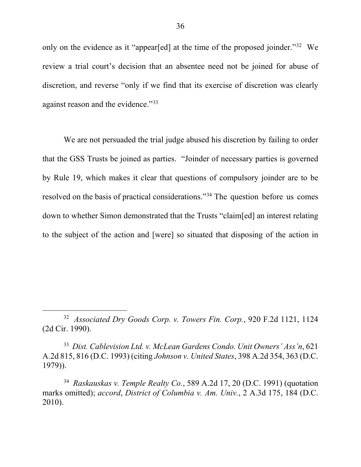only on the evidence as it "appear[ed] at the time of the proposed joinder."32 We review a trial court's decision that an absentee need not be joined for abuse of discretion, and reverse "only if we find that its exercise of discretion was clearly against reason and the evidence."<sup>33</sup>

We are not persuaded the trial judge abused his discretion by failing to order that the GSS Trusts be joined as parties. "Joinder of necessary parties is governed by Rule 19, which makes it clear that questions of compulsory joinder are to be resolved on the basis of practical considerations."34 The question before us comes down to whether Simon demonstrated that the Trusts "claim[ed] an interest relating to the subject of the action and [were] so situated that disposing of the action in

33 *Dist. Cablevision Ltd. v. McLean Gardens Condo. Unit Owners' Ass'n*, 621 A.2d 815, 816 (D.C. 1993) (citing *Johnson v. United States*, 398 A.2d 354, 363 (D.C. 1979)).

34 *Raskauskas v. Temple Realty Co.*, 589 A.2d 17, 20 (D.C. 1991) (quotation marks omitted); *accord*, *District of Columbia v. Am. Univ.*, 2 A.3d 175, 184 (D.C. 2010).

 <sup>32</sup> *Associated Dry Goods Corp. v. Towers Fin. Corp.*, 920 F.2d 1121, 1124 (2d Cir. 1990).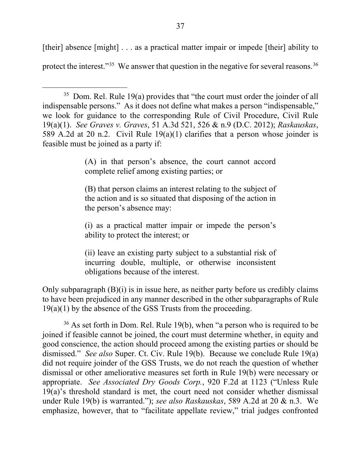[their] absence [might] . . . as a practical matter impair or impede [their] ability to protect the interest."<sup>35</sup> We answer that question in the negative for several reasons.<sup>36</sup>

(A) in that person's absence, the court cannot accord complete relief among existing parties; or

(B) that person claims an interest relating to the subject of the action and is so situated that disposing of the action in the person's absence may:

(i) as a practical matter impair or impede the person's ability to protect the interest; or

(ii) leave an existing party subject to a substantial risk of incurring double, multiple, or otherwise inconsistent obligations because of the interest.

Only subparagraph (B)(i) is in issue here, as neither party before us credibly claims to have been prejudiced in any manner described in the other subparagraphs of Rule 19(a)(1) by the absence of the GSS Trusts from the proceeding.

 $36$  As set forth in Dom. Rel. Rule 19(b), when "a person who is required to be joined if feasible cannot be joined, the court must determine whether, in equity and good conscience, the action should proceed among the existing parties or should be dismissed." *See also* Super. Ct. Civ. Rule 19(b). Because we conclude Rule 19(a) did not require joinder of the GSS Trusts, we do not reach the question of whether dismissal or other ameliorative measures set forth in Rule 19(b) were necessary or appropriate. *See Associated Dry Goods Corp.*, 920 F.2d at 1123 ("Unless Rule 19(a)'s threshold standard is met, the court need not consider whether dismissal under Rule 19(b) is warranted."); *see also Raskauskas*, 589 A.2d at 20 & n.3. We emphasize, however, that to "facilitate appellate review," trial judges confronted

 $35$  Dom. Rel. Rule 19(a) provides that "the court must order the joinder of all indispensable persons." As it does not define what makes a person "indispensable," we look for guidance to the corresponding Rule of Civil Procedure, Civil Rule 19(a)(1). *See Graves v. Graves*, 51 A.3d 521, 526 & n.9 (D.C. 2012); *Raskauskas*, 589 A.2d at 20 n.2. Civil Rule 19(a)(1) clarifies that a person whose joinder is feasible must be joined as a party if: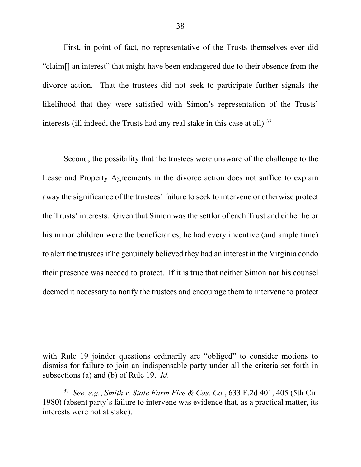First, in point of fact, no representative of the Trusts themselves ever did "claim[] an interest" that might have been endangered due to their absence from the divorce action. That the trustees did not seek to participate further signals the likelihood that they were satisfied with Simon's representation of the Trusts' interests (if, indeed, the Trusts had any real stake in this case at all).<sup>37</sup>

Second, the possibility that the trustees were unaware of the challenge to the Lease and Property Agreements in the divorce action does not suffice to explain away the significance of the trustees' failure to seek to intervene or otherwise protect the Trusts' interests. Given that Simon was the settlor of each Trust and either he or his minor children were the beneficiaries, he had every incentive (and ample time) to alert the trustees if he genuinely believed they had an interest in the Virginia condo their presence was needed to protect. If it is true that neither Simon nor his counsel deemed it necessary to notify the trustees and encourage them to intervene to protect

 $\overline{a}$ 

with Rule 19 joinder questions ordinarily are "obliged" to consider motions to dismiss for failure to join an indispensable party under all the criteria set forth in subsections (a) and (b) of Rule 19. *Id.*

<sup>37</sup> *See, e.g.*, *Smith v. State Farm Fire & Cas. Co.*, 633 F.2d 401, 405 (5th Cir. 1980) (absent party's failure to intervene was evidence that, as a practical matter, its interests were not at stake).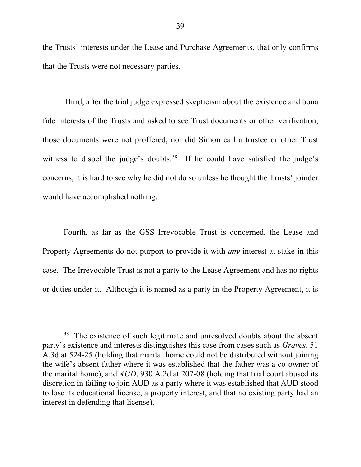the Trusts' interests under the Lease and Purchase Agreements, that only confirms that the Trusts were not necessary parties.

Third, after the trial judge expressed skepticism about the existence and bona fide interests of the Trusts and asked to see Trust documents or other verification, those documents were not proffered, nor did Simon call a trustee or other Trust witness to dispel the judge's doubts.<sup>38</sup> If he could have satisfied the judge's concerns, it is hard to see why he did not do so unless he thought the Trusts' joinder would have accomplished nothing.

Fourth, as far as the GSS Irrevocable Trust is concerned, the Lease and Property Agreements do not purport to provide it with *any* interest at stake in this case. The Irrevocable Trust is not a party to the Lease Agreement and has no rights or duties under it. Although it is named as a party in the Property Agreement, it is

 $38$  The existence of such legitimate and unresolved doubts about the absent party's existence and interests distinguishes this case from cases such as *Graves*, 51 A.3d at 524-25 (holding that marital home could not be distributed without joining the wife's absent father where it was established that the father was a co-owner of the marital home), and *AUD*, 930 A.2d at 207-08 (holding that trial court abused its discretion in failing to join AUD as a party where it was established that AUD stood to lose its educational license, a property interest, and that no existing party had an interest in defending that license).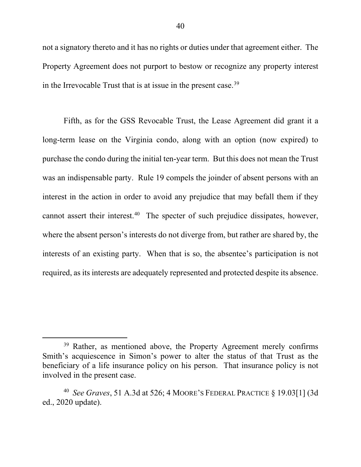not a signatory thereto and it has no rights or duties under that agreement either. The Property Agreement does not purport to bestow or recognize any property interest in the Irrevocable Trust that is at issue in the present case.39

Fifth, as for the GSS Revocable Trust, the Lease Agreement did grant it a long-term lease on the Virginia condo, along with an option (now expired) to purchase the condo during the initial ten-year term. But this does not mean the Trust was an indispensable party. Rule 19 compels the joinder of absent persons with an interest in the action in order to avoid any prejudice that may befall them if they cannot assert their interest.<sup>40</sup> The specter of such prejudice dissipates, however, where the absent person's interests do not diverge from, but rather are shared by, the interests of an existing party. When that is so, the absentee's participation is not required, as its interests are adequately represented and protected despite its absence.

<sup>&</sup>lt;sup>39</sup> Rather, as mentioned above, the Property Agreement merely confirms Smith's acquiescence in Simon's power to alter the status of that Trust as the beneficiary of a life insurance policy on his person. That insurance policy is not involved in the present case.

<sup>40</sup> *See Graves*, 51 A.3d at 526; 4 MOORE'S FEDERAL PRACTICE § 19.03[1] (3d ed., 2020 update).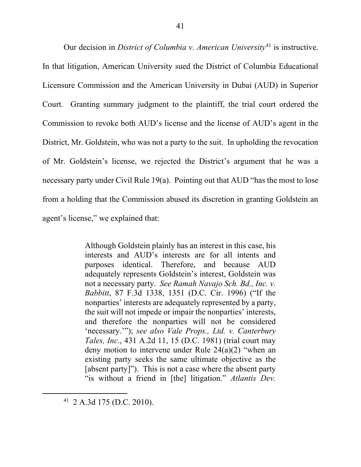Our decision in *District of Columbia v. American University*<sup>41</sup> is instructive. In that litigation, American University sued the District of Columbia Educational Licensure Commission and the American University in Dubai (AUD) in Superior Court. Granting summary judgment to the plaintiff, the trial court ordered the Commission to revoke both AUD's license and the license of AUD's agent in the District, Mr. Goldstein, who was not a party to the suit. In upholding the revocation of Mr. Goldstein's license, we rejected the District's argument that he was a necessary party under Civil Rule 19(a). Pointing out that AUD "has the most to lose from a holding that the Commission abused its discretion in granting Goldstein an agent's license," we explained that:

> Although Goldstein plainly has an interest in this case, his interests and AUD's interests are for all intents and purposes identical. Therefore, and because AUD adequately represents Goldstein's interest, Goldstein was not a necessary party. *See Ramah Navajo Sch. Bd., Inc. v. Babbitt*, 87 F.3d 1338, 1351 (D.C. Cir. 1996) ("If the nonparties' interests are adequately represented by a party, the suit will not impede or impair the nonparties' interests, and therefore the nonparties will not be considered 'necessary.'"); *see also Vale Props., Ltd. v. Canterbury Tales, Inc*., 431 A.2d 11, 15 (D.C. 1981) (trial court may deny motion to intervene under Rule 24(a)(2) "when an existing party seeks the same ultimate objective as the [absent party]"). This is not a case where the absent party "is without a friend in [the] litigation." *Atlantis Dev.*

 <sup>41 2</sup> A.3d 175 (D.C. 2010).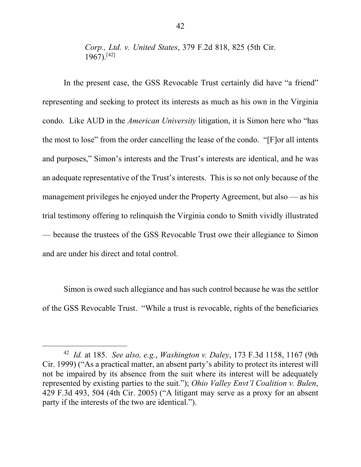*Corp., Ltd. v. United States*, 379 F.2d 818, 825 (5th Cir. 1967).[42]

In the present case, the GSS Revocable Trust certainly did have "a friend" representing and seeking to protect its interests as much as his own in the Virginia condo. Like AUD in the *American University* litigation, it is Simon here who "has the most to lose" from the order cancelling the lease of the condo. "[F]or all intents and purposes," Simon's interests and the Trust's interests are identical, and he was an adequate representative of the Trust's interests. This is so not only because of the management privileges he enjoyed under the Property Agreement, but also — as his trial testimony offering to relinquish the Virginia condo to Smith vividly illustrated — because the trustees of the GSS Revocable Trust owe their allegiance to Simon and are under his direct and total control.

Simon is owed such allegiance and has such control because he was the settlor of the GSS Revocable Trust. "While a trust is revocable, rights of the beneficiaries

 <sup>42</sup> *Id.* at 185. *See also, e.g.*, *Washington v. Daley*, 173 F.3d 1158, 1167 (9th Cir. 1999) ("As a practical matter, an absent party's ability to protect its interest will not be impaired by its absence from the suit where its interest will be adequately represented by existing parties to the suit."); *Ohio Valley Envt'l Coalition v. Bulen*, 429 F.3d 493, 504 (4th Cir. 2005) ("A litigant may serve as a proxy for an absent party if the interests of the two are identical.").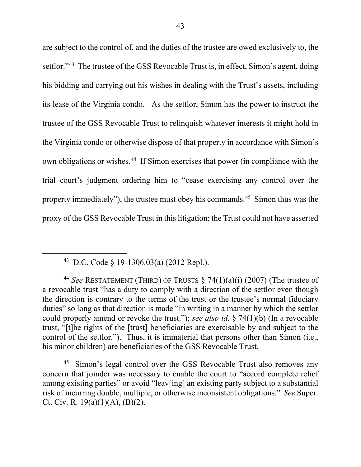are subject to the control of, and the duties of the trustee are owed exclusively to, the settlor."<sup>43</sup> The trustee of the GSS Revocable Trust is, in effect, Simon's agent, doing his bidding and carrying out his wishes in dealing with the Trust's assets, including its lease of the Virginia condo. As the settlor, Simon has the power to instruct the trustee of the GSS Revocable Trust to relinquish whatever interests it might hold in the Virginia condo or otherwise dispose of that property in accordance with Simon's own obligations or wishes. <sup>44</sup> If Simon exercises that power (in compliance with the trial court's judgment ordering him to "cease exercising any control over the property immediately"), the trustee must obey his commands. 45 Simon thus was the proxy of the GSS Revocable Trust in this litigation; the Trust could not have asserted

Simon's legal control over the GSS Revocable Trust also removes any concern that joinder was necessary to enable the court to "accord complete relief among existing parties" or avoid "leav[ing] an existing party subject to a substantial risk of incurring double, multiple, or otherwise inconsistent obligations." *See* Super. Ct. Civ. R.  $19(a)(1)(A)$ , (B)(2).

 <sup>43</sup> D.C. Code § 19-1306.03(a) (2012 Repl.).

<sup>44</sup> *See* RESTATEMENT (THIRD) OF TRUSTS § 74(1)(a)(i) (2007) (The trustee of a revocable trust "has a duty to comply with a direction of the settlor even though the direction is contrary to the terms of the trust or the trustee's normal fiduciary duties" so long as that direction is made "in writing in a manner by which the settlor could properly amend or revoke the trust."); *see also id.* § 74(1)(b) (In a revocable trust, "[t]he rights of the [trust] beneficiaries are exercisable by and subject to the control of the settlor."). Thus, it is immaterial that persons other than Simon (i.e., his minor children) are beneficiaries of the GSS Revocable Trust.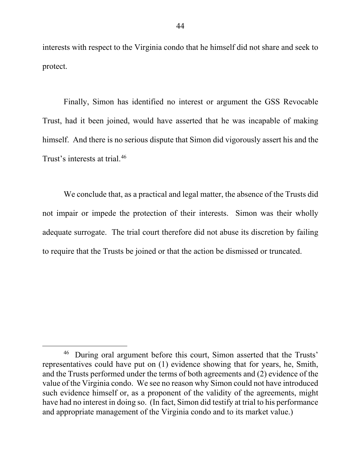interests with respect to the Virginia condo that he himself did not share and seek to protect.

Finally, Simon has identified no interest or argument the GSS Revocable Trust, had it been joined, would have asserted that he was incapable of making himself. And there is no serious dispute that Simon did vigorously assert his and the Trust's interests at trial.46

We conclude that, as a practical and legal matter, the absence of the Trusts did not impair or impede the protection of their interests. Simon was their wholly adequate surrogate. The trial court therefore did not abuse its discretion by failing to require that the Trusts be joined or that the action be dismissed or truncated.

<sup>&</sup>lt;sup>46</sup> During oral argument before this court, Simon asserted that the Trusts' representatives could have put on (1) evidence showing that for years, he, Smith, and the Trusts performed under the terms of both agreements and (2) evidence of the value of the Virginia condo. We see no reason why Simon could not have introduced such evidence himself or, as a proponent of the validity of the agreements, might have had no interest in doing so. (In fact, Simon did testify at trial to his performance and appropriate management of the Virginia condo and to its market value.)